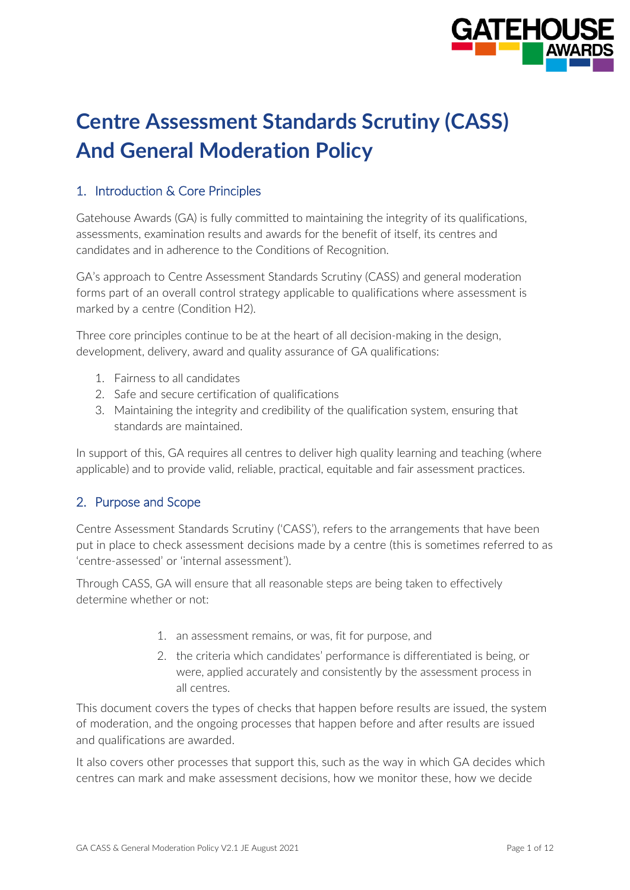

# **Centre Assessment Standards Scrutiny (CASS) And General Moderation Policy**

### 1. Introduction & Core Principles

Gatehouse Awards (GA) is fully committed to maintaining the integrity of its qualifications, assessments, examination results and awards for the benefit of itself, its centres and candidates and in adherence to the Conditions of Recognition.

GA's approach to Centre Assessment Standards Scrutiny (CASS) and general moderation forms part of an overall control strategy applicable to qualifications where assessment is marked by a centre (Condition H2).

Three core principles continue to be at the heart of all decision-making in the design, development, delivery, award and quality assurance of GA qualifications:

- 1. Fairness to all candidates
- 2. Safe and secure certification of qualifications
- 3. Maintaining the integrity and credibility of the qualification system, ensuring that standards are maintained.

In support of this, GA requires all centres to deliver high quality learning and teaching (where applicable) and to provide valid, reliable, practical, equitable and fair assessment practices.

#### 2. Purpose and Scope

Centre Assessment Standards Scrutiny ('CASS'), refers to the arrangements that have been put in place to check assessment decisions made by a centre (this is sometimes referred to as 'centre-assessed' or 'internal assessment').

Through CASS, GA will ensure that all reasonable steps are being taken to effectively determine whether or not:

- 1. an assessment remains, or was, fit for purpose, and
- 2. the criteria which candidates' performance is differentiated is being, or were, applied accurately and consistently by the assessment process in all centres.

This document covers the types of checks that happen before results are issued, the system of moderation, and the ongoing processes that happen before and after results are issued and qualifications are awarded.

It also covers other processes that support this, such as the way in which GA decides which centres can mark and make assessment decisions, how we monitor these, how we decide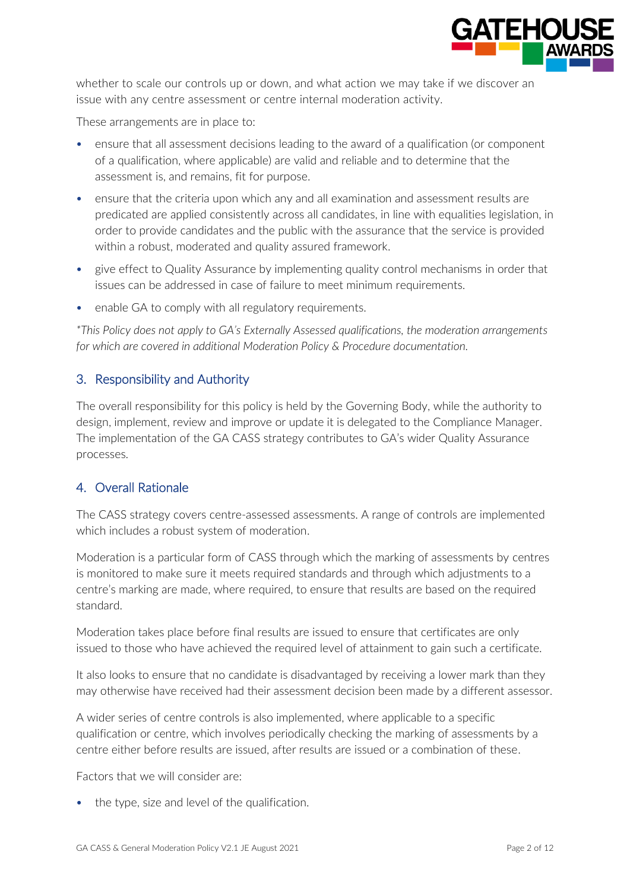

whether to scale our controls up or down, and what action we may take if we discover an issue with any centre assessment or centre internal moderation activity.

These arrangements are in place to:

- ensure that all assessment decisions leading to the award of a qualification (or component of a qualification, where applicable) are valid and reliable and to determine that the assessment is, and remains, fit for purpose.
- ensure that the criteria upon which any and all examination and assessment results are predicated are applied consistently across all candidates, in line with equalities legislation, in order to provide candidates and the public with the assurance that the service is provided within a robust, moderated and quality assured framework.
- give effect to Quality Assurance by implementing quality control mechanisms in order that issues can be addressed in case of failure to meet minimum requirements.
- enable GA to comply with all regulatory requirements.

*\*This Policy does not apply to GA's Externally Assessed qualifications, the moderation arrangements for which are covered in additional Moderation Policy & Procedure documentation.*

#### 3. Responsibility and Authority

The overall responsibility for this policy is held by the Governing Body, while the authority to design, implement, review and improve or update it is delegated to the Compliance Manager. The implementation of the GA CASS strategy contributes to GA's wider Quality Assurance processes.

#### 4. Overall Rationale

The CASS strategy covers centre-assessed assessments. A range of controls are implemented which includes a robust system of moderation.

Moderation is a particular form of CASS through which the marking of assessments by centres is monitored to make sure it meets required standards and through which adjustments to a centre's marking are made, where required, to ensure that results are based on the required standard.

Moderation takes place before final results are issued to ensure that certificates are only issued to those who have achieved the required level of attainment to gain such a certificate.

It also looks to ensure that no candidate is disadvantaged by receiving a lower mark than they may otherwise have received had their assessment decision been made by a different assessor.

A wider series of centre controls is also implemented, where applicable to a specific qualification or centre, which involves periodically checking the marking of assessments by a centre either before results are issued, after results are issued or a combination of these.

Factors that we will consider are:

• the type, size and level of the qualification.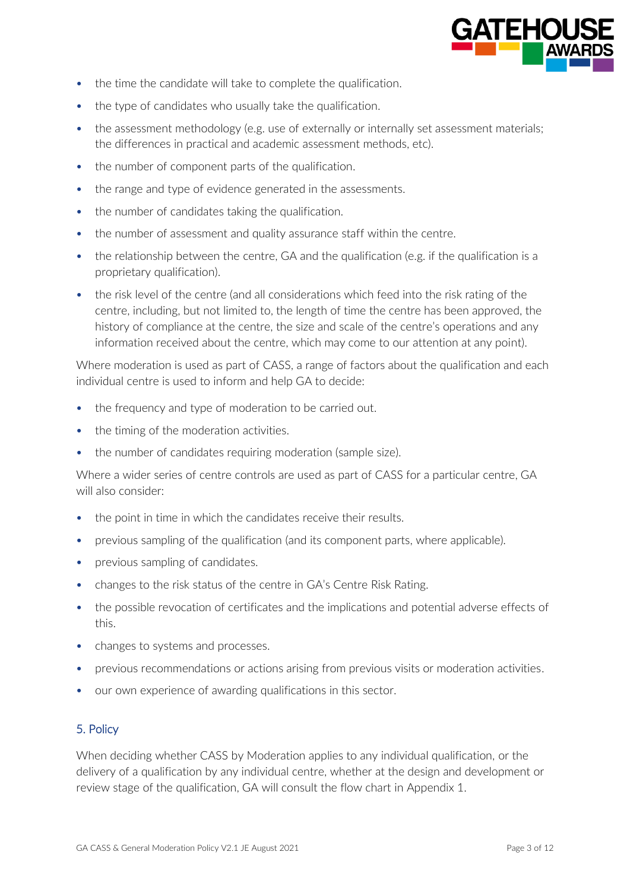

- the time the candidate will take to complete the qualification.
- the type of candidates who usually take the qualification.
- the assessment methodology (e.g. use of externally or internally set assessment materials; the differences in practical and academic assessment methods, etc).
- the number of component parts of the qualification.
- the range and type of evidence generated in the assessments.
- the number of candidates taking the qualification.
- the number of assessment and quality assurance staff within the centre.
- the relationship between the centre, GA and the qualification (e.g. if the qualification is a proprietary qualification).
- the risk level of the centre (and all considerations which feed into the risk rating of the centre, including, but not limited to, the length of time the centre has been approved, the history of compliance at the centre, the size and scale of the centre's operations and any information received about the centre, which may come to our attention at any point).

Where moderation is used as part of CASS, a range of factors about the qualification and each individual centre is used to inform and help GA to decide:

- the frequency and type of moderation to be carried out.
- the timing of the moderation activities.
- the number of candidates requiring moderation (sample size).

Where a wider series of centre controls are used as part of CASS for a particular centre, GA will also consider:

- the point in time in which the candidates receive their results.
- previous sampling of the qualification (and its component parts, where applicable).
- previous sampling of candidates.
- changes to the risk status of the centre in GA's Centre Risk Rating.
- the possible revocation of certificates and the implications and potential adverse effects of this.
- changes to systems and processes.
- previous recommendations or actions arising from previous visits or moderation activities.
- our own experience of awarding qualifications in this sector.

#### 5. Policy

When deciding whether CASS by Moderation applies to any individual qualification, or the delivery of a qualification by any individual centre, whether at the design and development or review stage of the qualification, GA will consult the flow chart in Appendix 1.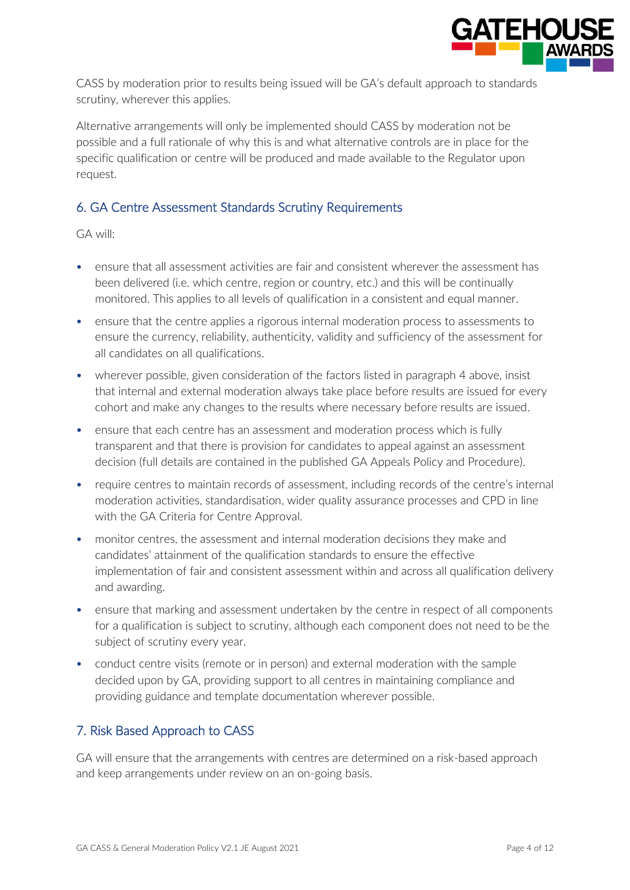

CASS by moderation prior to results being issued will be GA's default approach to standards scrutiny, wherever this applies.

Alternative arrangements will only be implemented should CASS by moderation not be possible and a full rationale of why this is and what alternative controls are in place for the specific qualification or centre will be produced and made available to the Regulator upon request.

# 6. GA Centre Assessment Standards Scrutiny Requirements

GA will:

- ensure that all assessment activities are fair and consistent wherever the assessment has been delivered (i.e. which centre, region or country, etc.) and this will be continually monitored. This applies to all levels of qualification in a consistent and equal manner.
- ensure that the centre applies a rigorous internal moderation process to assessments to ensure the currency, reliability, authenticity, validity and sufficiency of the assessment for all candidates on all qualifications.
- wherever possible, given consideration of the factors listed in paragraph 4 above, insist that internal and external moderation always take place before results are issued for every cohort and make any changes to the results where necessary before results are issued.
- ensure that each centre has an assessment and moderation process which is fully transparent and that there is provision for candidates to appeal against an assessment decision (full details are contained in the published GA Appeals Policy and Procedure).
- require centres to maintain records of assessment, including records of the centre's internal moderation activities, standardisation, wider quality assurance processes and CPD in line with the GA Criteria for Centre Approval.
- monitor centres, the assessment and internal moderation decisions they make and candidates' attainment of the qualification standards to ensure the effective implementation of fair and consistent assessment within and across all qualification delivery and awarding.
- ensure that marking and assessment undertaken by the centre in respect of all components for a qualification is subject to scrutiny, although each component does not need to be the subject of scrutiny every year.
- conduct centre visits (remote or in person) and external moderation with the sample decided upon by GA, providing support to all centres in maintaining compliance and providing guidance and template documentation wherever possible.

# 7. Risk Based Approach to CASS

GA will ensure that the arrangements with centres are determined on a risk-based approach and keep arrangements under review on an on-going basis.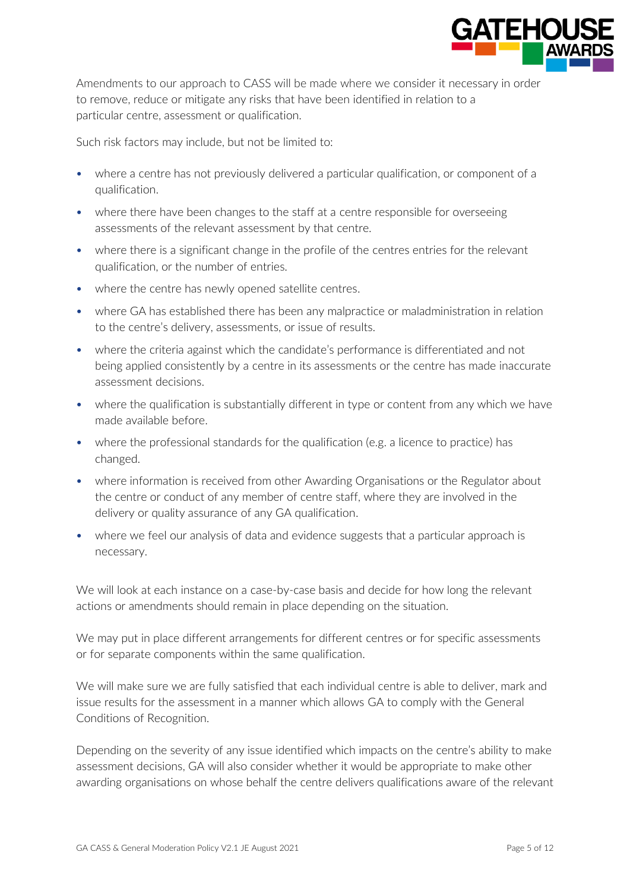

Amendments to our approach to CASS will be made where we consider it necessary in order to remove, reduce or mitigate any risks that have been identified in relation to a particular centre, assessment or qualification.

Such risk factors may include, but not be limited to:

- where a centre has not previously delivered a particular qualification, or component of a qualification.
- where there have been changes to the staff at a centre responsible for overseeing assessments of the relevant assessment by that centre.
- where there is a significant change in the profile of the centres entries for the relevant qualification, or the number of entries.
- where the centre has newly opened satellite centres.
- where GA has established there has been any malpractice or maladministration in relation to the centre's delivery, assessments, or issue of results.
- where the criteria against which the candidate's performance is differentiated and not being applied consistently by a centre in its assessments or the centre has made inaccurate assessment decisions.
- where the qualification is substantially different in type or content from any which we have made available before.
- where the professional standards for the qualification (e.g. a licence to practice) has changed.
- where information is received from other Awarding Organisations or the Regulator about the centre or conduct of any member of centre staff, where they are involved in the delivery or quality assurance of any GA qualification.
- where we feel our analysis of data and evidence suggests that a particular approach is necessary.

We will look at each instance on a case-by-case basis and decide for how long the relevant actions or amendments should remain in place depending on the situation.

We may put in place different arrangements for different centres or for specific assessments or for separate components within the same qualification.

We will make sure we are fully satisfied that each individual centre is able to deliver, mark and issue results for the assessment in a manner which allows GA to comply with the General Conditions of Recognition.

Depending on the severity of any issue identified which impacts on the centre's ability to make assessment decisions, GA will also consider whether it would be appropriate to make other awarding organisations on whose behalf the centre delivers qualifications aware of the relevant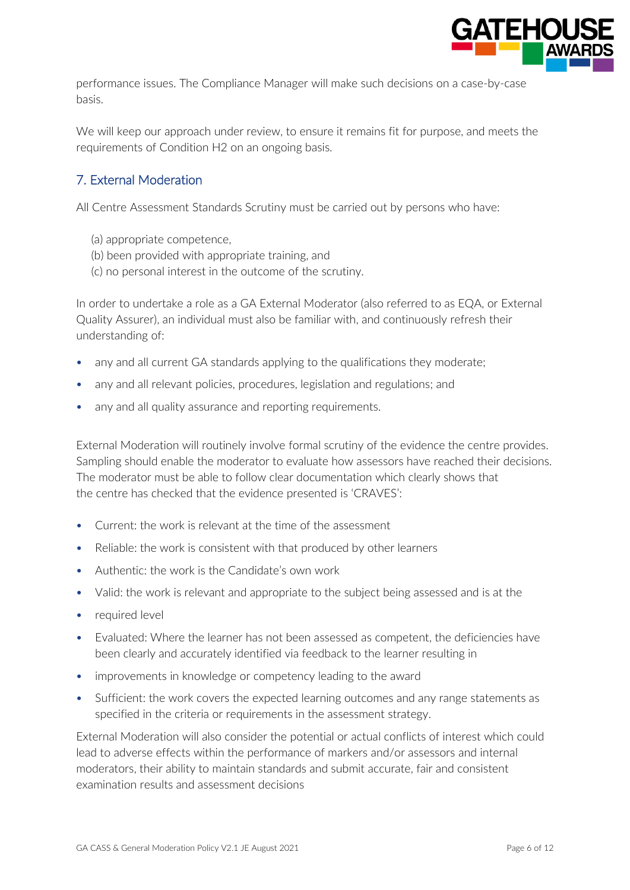

performance issues. The Compliance Manager will make such decisions on a case-by-case basis.

We will keep our approach under review, to ensure it remains fit for purpose, and meets the requirements of Condition H2 on an ongoing basis.

## 7. External Moderation

All Centre Assessment Standards Scrutiny must be carried out by persons who have:

- (a) appropriate competence,
- (b) been provided with appropriate training, and
- (c) no personal interest in the outcome of the scrutiny.

In order to undertake a role as a GA External Moderator (also referred to as EQA, or External Quality Assurer), an individual must also be familiar with, and continuously refresh their understanding of:

- any and all current GA standards applying to the qualifications they moderate;
- any and all relevant policies, procedures, legislation and regulations; and
- any and all quality assurance and reporting requirements.

External Moderation will routinely involve formal scrutiny of the evidence the centre provides. Sampling should enable the moderator to evaluate how assessors have reached their decisions. The moderator must be able to follow clear documentation which clearly shows that the centre has checked that the evidence presented is 'CRAVES':

- Current: the work is relevant at the time of the assessment
- Reliable: the work is consistent with that produced by other learners
- Authentic: the work is the Candidate's own work
- Valid: the work is relevant and appropriate to the subject being assessed and is at the
- required level
- Evaluated: Where the learner has not been assessed as competent, the deficiencies have been clearly and accurately identified via feedback to the learner resulting in
- improvements in knowledge or competency leading to the award
- Sufficient: the work covers the expected learning outcomes and any range statements as specified in the criteria or requirements in the assessment strategy.

External Moderation will also consider the potential or actual conflicts of interest which could lead to adverse effects within the performance of markers and/or assessors and internal moderators, their ability to maintain standards and submit accurate, fair and consistent examination results and assessment decisions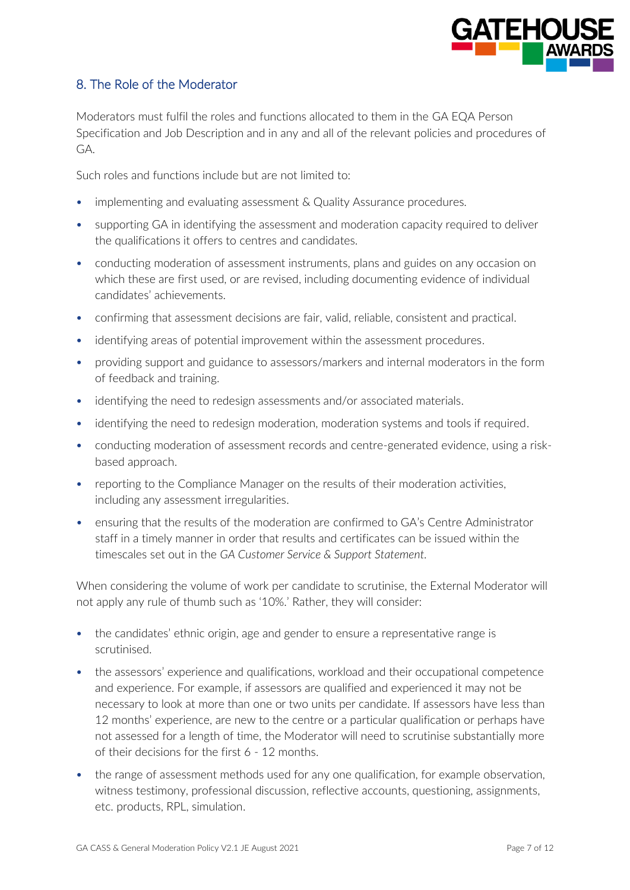

# 8. The Role of the Moderator

Moderators must fulfil the roles and functions allocated to them in the GA EQA Person Specification and Job Description and in any and all of the relevant policies and procedures of  $G\Delta$ 

Such roles and functions include but are not limited to:

- implementing and evaluating assessment & Quality Assurance procedures.
- supporting GA in identifying the assessment and moderation capacity required to deliver the qualifications it offers to centres and candidates.
- conducting moderation of assessment instruments, plans and guides on any occasion on which these are first used, or are revised, including documenting evidence of individual candidates' achievements.
- confirming that assessment decisions are fair, valid, reliable, consistent and practical.
- identifying areas of potential improvement within the assessment procedures.
- providing support and guidance to assessors/markers and internal moderators in the form of feedback and training.
- identifying the need to redesign assessments and/or associated materials.
- identifying the need to redesign moderation, moderation systems and tools if required.
- conducting moderation of assessment records and centre-generated evidence, using a riskbased approach.
- reporting to the Compliance Manager on the results of their moderation activities, including any assessment irregularities.
- ensuring that the results of the moderation are confirmed to GA's Centre Administrator staff in a timely manner in order that results and certificates can be issued within the timescales set out in the *GA Customer Service & Support Statement.*

When considering the volume of work per candidate to scrutinise, the External Moderator will not apply any rule of thumb such as '10%.' Rather, they will consider:

- the candidates' ethnic origin, age and gender to ensure a representative range is scrutinised.
- the assessors' experience and qualifications, workload and their occupational competence and experience. For example, if assessors are qualified and experienced it may not be necessary to look at more than one or two units per candidate. If assessors have less than 12 months' experience, are new to the centre or a particular qualification or perhaps have not assessed for a length of time, the Moderator will need to scrutinise substantially more of their decisions for the first 6 - 12 months.
- the range of assessment methods used for any one qualification, for example observation, witness testimony, professional discussion, reflective accounts, questioning, assignments, etc. products, RPL, simulation.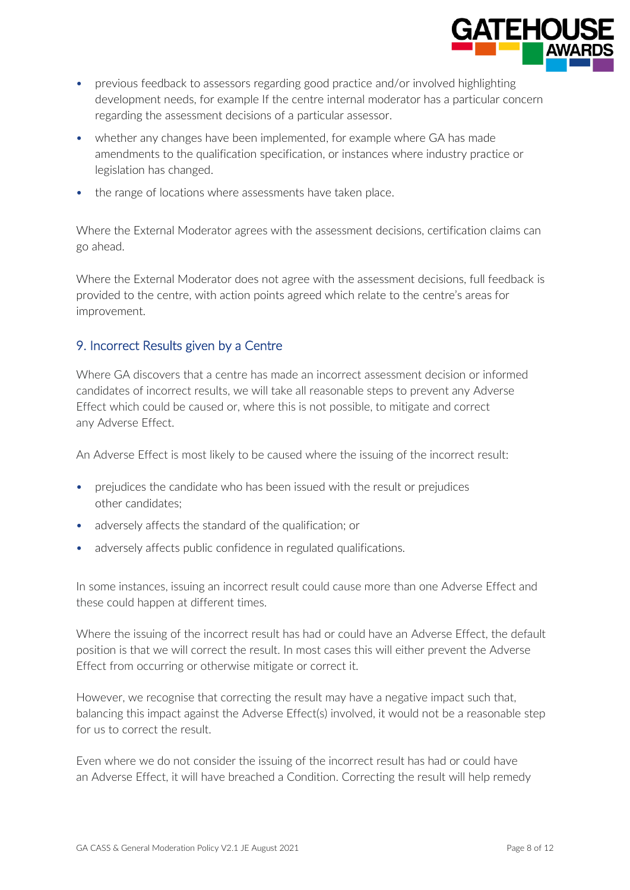

- previous feedback to assessors regarding good practice and/or involved highlighting development needs, for example If the centre internal moderator has a particular concern regarding the assessment decisions of a particular assessor.
- whether any changes have been implemented, for example where GA has made amendments to the qualification specification, or instances where industry practice or legislation has changed.
- the range of locations where assessments have taken place.

Where the External Moderator agrees with the assessment decisions, certification claims can go ahead.

Where the External Moderator does not agree with the assessment decisions, full feedback is provided to the centre, with action points agreed which relate to the centre's areas for improvement.

#### 9. Incorrect Results given by a Centre

Where GA discovers that a centre has made an incorrect assessment decision or informed candidates of incorrect results, we will take all reasonable steps to prevent any Adverse Effect which could be caused or, where this is not possible, to mitigate and correct any Adverse Effect.

An Adverse Effect is most likely to be caused where the issuing of the incorrect result:

- prejudices the candidate who has been issued with the result or prejudices other candidates;
- adversely affects the standard of the qualification; or
- adversely affects public confidence in regulated qualifications.

In some instances, issuing an incorrect result could cause more than one Adverse Effect and these could happen at different times.

Where the issuing of the incorrect result has had or could have an Adverse Effect, the default position is that we will correct the result. In most cases this will either prevent the Adverse Effect from occurring or otherwise mitigate or correct it.

However, we recognise that correcting the result may have a negative impact such that, balancing this impact against the Adverse Effect(s) involved, it would not be a reasonable step for us to correct the result.

Even where we do not consider the issuing of the incorrect result has had or could have an Adverse Effect, it will have breached a Condition. Correcting the result will help remedy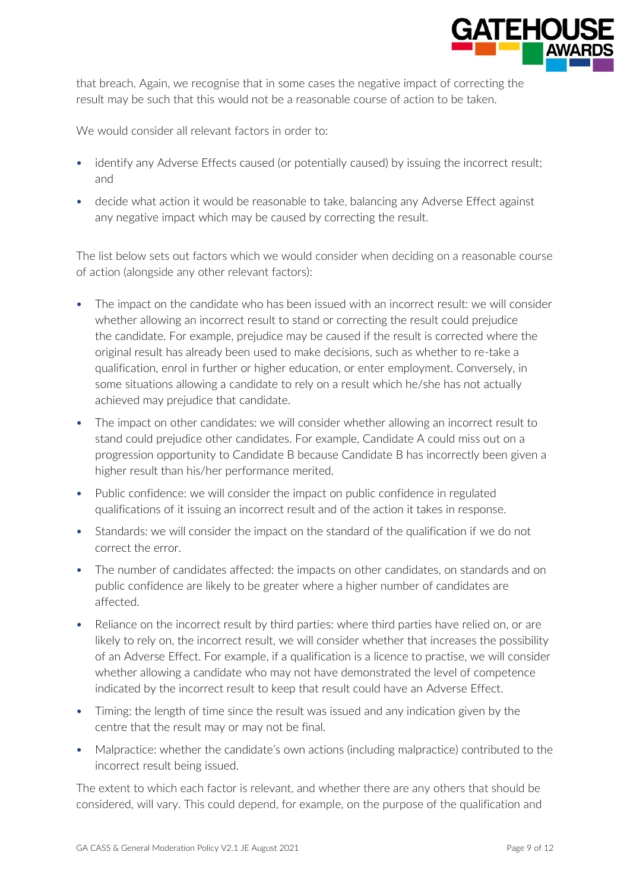

that breach. Again, we recognise that in some cases the negative impact of correcting the result may be such that this would not be a reasonable course of action to be taken.

We would consider all relevant factors in order to:

- identify any Adverse Effects caused (or potentially caused) by issuing the incorrect result; and
- decide what action it would be reasonable to take, balancing any Adverse Effect against any negative impact which may be caused by correcting the result.

The list below sets out factors which we would consider when deciding on a reasonable course of action (alongside any other relevant factors):

- The impact on the candidate who has been issued with an incorrect result: we will consider whether allowing an incorrect result to stand or correcting the result could prejudice the candidate. For example, prejudice may be caused if the result is corrected where the original result has already been used to make decisions, such as whether to re-take a qualification, enrol in further or higher education, or enter employment. Conversely, in some situations allowing a candidate to rely on a result which he/she has not actually achieved may prejudice that candidate.
- The impact on other candidates: we will consider whether allowing an incorrect result to stand could prejudice other candidates. For example, Candidate A could miss out on a progression opportunity to Candidate B because Candidate B has incorrectly been given a higher result than his/her performance merited.
- Public confidence: we will consider the impact on public confidence in regulated qualifications of it issuing an incorrect result and of the action it takes in response.
- Standards: we will consider the impact on the standard of the qualification if we do not correct the error.
- The number of candidates affected: the impacts on other candidates, on standards and on public confidence are likely to be greater where a higher number of candidates are affected.
- Reliance on the incorrect result by third parties: where third parties have relied on, or are likely to rely on, the incorrect result, we will consider whether that increases the possibility of an Adverse Effect. For example, if a qualification is a licence to practise, we will consider whether allowing a candidate who may not have demonstrated the level of competence indicated by the incorrect result to keep that result could have an Adverse Effect.
- Timing: the length of time since the result was issued and any indication given by the centre that the result may or may not be final.
- Malpractice: whether the candidate's own actions (including malpractice) contributed to the incorrect result being issued.

The extent to which each factor is relevant, and whether there are any others that should be considered, will vary. This could depend, for example, on the purpose of the qualification and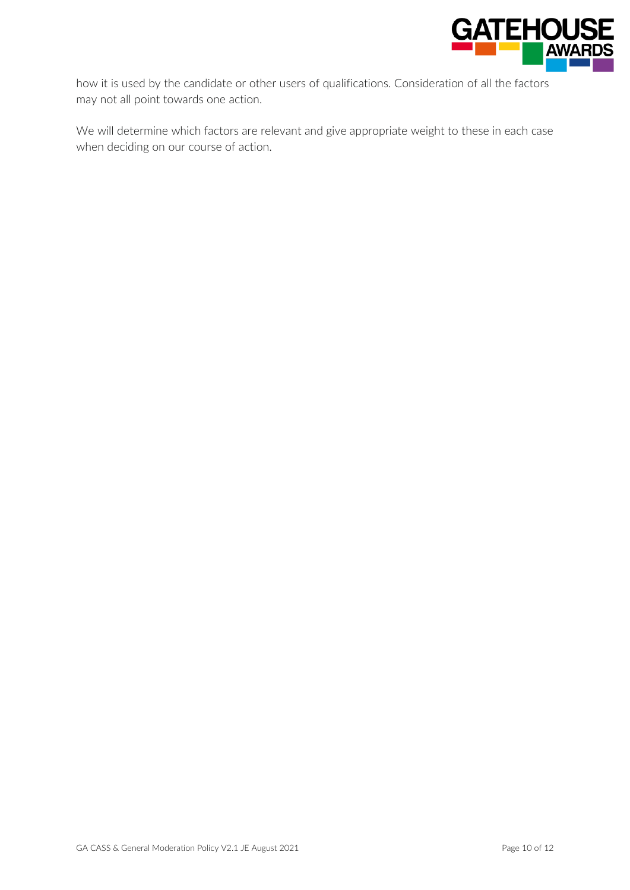

how it is used by the candidate or other users of qualifications. Consideration of all the factors may not all point towards one action.

We will determine which factors are relevant and give appropriate weight to these in each case when deciding on our course of action.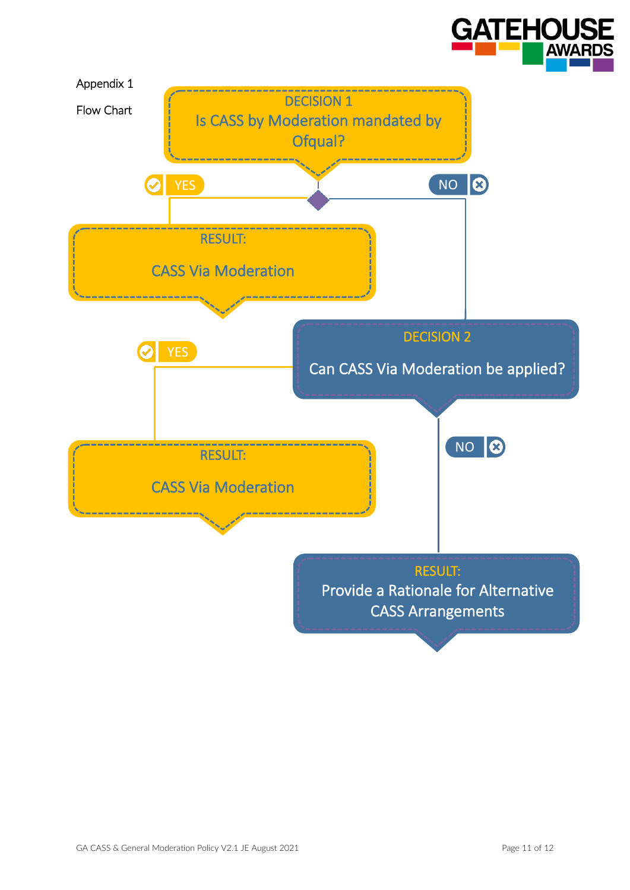